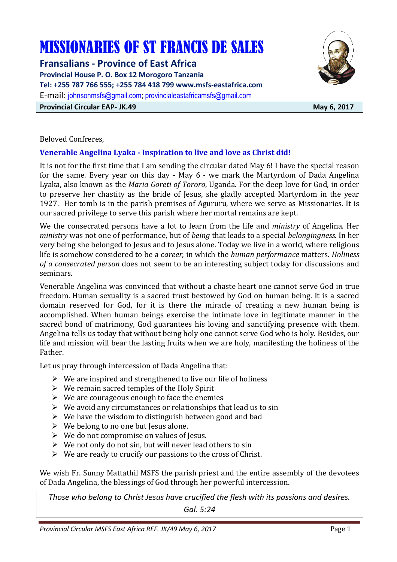# MISSIONARIES OF ST FRANCIS DE SALES

**Fransalians - Province of East Africa** 

**Provincial House P. O. Box 12 Morogoro Tanzania Tel: +255 787 766 555; +255 784 418 799 www.msfs-eastafrica.com**  E-mail: johnsonmsfs@gmail.com; provincialeastafricamsfs@gmail.com

**Provincial Circular EAP- JK.49** May 6, 2017



Beloved Confreres,

# **Venerable Angelina Lyaka - Inspiration to live and love as Christ did!**

It is not for the first time that I am sending the circular dated May 6! I have the special reason for the same. Every year on this day - May 6 - we mark the Martyrdom of Dada Angelina Lyaka, also known as the *Maria Goreti of Tororo*, Uganda. For the deep love for God, in order to preserve her chastity as the bride of Jesus, she gladly accepted Martyrdom in the year 1927. Her tomb is in the parish premises of Agururu, where we serve as Missionaries. It is our sacred privilege to serve this parish where her mortal remains are kept.

We the consecrated persons have a lot to learn from the life and *ministry* of Angelina. Her *ministry* was not one of performance, but of *being* that leads to a special *belongingness*. In her very being she belonged to Jesus and to Jesus alone. Today we live in a world, where religious life is somehow considered to be a c*areer*, in which the *human performance* matters. *Holiness of a consecrated person* does not seem to be an interesting subject today for discussions and seminars.

Venerable Angelina was convinced that without a chaste heart one cannot serve God in true freedom. Human sexuality is a sacred trust bestowed by God on human being. It is a sacred domain reserved for God, for it is there the miracle of creating a new human being is accomplished. When human beings exercise the intimate love in legitimate manner in the sacred bond of matrimony, God guarantees his loving and sanctifying presence with them. Angelina tells us today that without being holy one cannot serve God who is holy. Besides, our life and mission will bear the lasting fruits when we are holy, manifesting the holiness of the Father.

Let us pray through intercession of Dada Angelina that:

- $\triangleright$  We are inspired and strengthened to live our life of holiness
- $\triangleright$  We remain sacred temples of the Holy Spirit
- $\triangleright$  We are courageous enough to face the enemies
- $\triangleright$  We avoid any circumstances or relationships that lead us to sin
- $\triangleright$  We have the wisdom to distinguish between good and bad
- $\triangleright$  We belong to no one but Jesus alone.
- $\triangleright$  We do not compromise on values of Jesus.
- $\triangleright$  We not only do not sin, but will never lead others to sin
- $\triangleright$  We are ready to crucify our passions to the cross of Christ.

We wish Fr. Sunny Mattathil MSFS the parish priest and the entire assembly of the devotees of Dada Angelina, the blessings of God through her powerful intercession.

*Those who belong to Christ Jesus have crucified the flesh with its passions and desires.* 

*Gal. 5:24*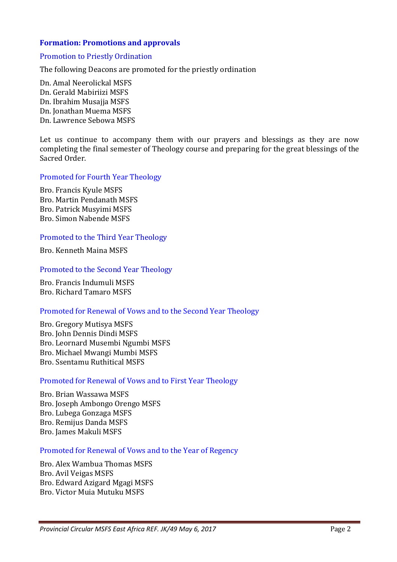### **Formation: Promotions and approvals**

#### Promotion to Priestly Ordination

The following Deacons are promoted for the priestly ordination

Dn. Amal Neerolickal MSFS Dn. Gerald Mabiriizi MSFS Dn. Ibrahim Musajja MSFS Dn. Jonathan Muema MSFS Dn. Lawrence Sebowa MSFS

Let us continue to accompany them with our prayers and blessings as they are now completing the final semester of Theology course and preparing for the great blessings of the Sacred Order.

#### Promoted for Fourth Year Theology

Bro. Francis Kyule MSFS Bro. Martin Pendanath MSFS Bro. Patrick Musyimi MSFS Bro. Simon Nabende MSFS

#### Promoted to the Third Year Theology

Bro. Kenneth Maina MSFS

#### Promoted to the Second Year Theology

Bro. Francis Indumuli MSFS Bro. Richard Tamaro MSFS

#### Promoted for Renewal of Vows and to the Second Year Theology

Bro. Gregory Mutisya MSFS Bro. John Dennis Dindi MSFS Bro. Leornard Musembi Ngumbi MSFS Bro. Michael Mwangi Mumbi MSFS Bro. Ssentamu Ruthitical MSFS

#### Promoted for Renewal of Vows and to First Year Theology

Bro. Brian Wassawa MSFS Bro. Joseph Ambongo Orengo MSFS Bro. Lubega Gonzaga MSFS Bro. Remijus Danda MSFS Bro. James Makuli MSFS

#### Promoted for Renewal of Vows and to the Year of Regency

Bro. Alex Wambua Thomas MSFS Bro. Avil Veigas MSFS Bro. Edward Azigard Mgagi MSFS Bro. Victor Muia Mutuku MSFS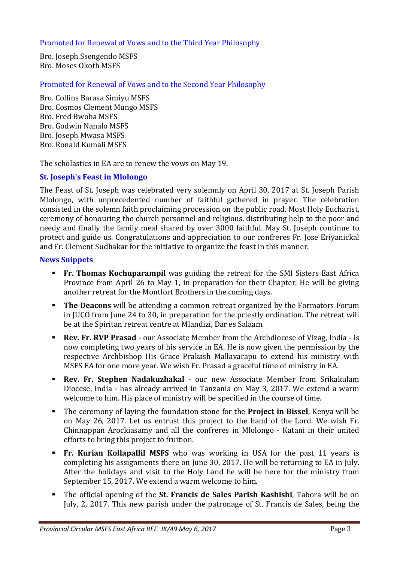## Promoted for Renewal of Vows and to the Third Year Philosophy

Bro. Joseph Ssengendo MSFS Bro. Moses Okoth MSFS

Promoted for Renewal of Vows and to the Second Year Philosophy

Bro. Collins Barasa Simiyu MSFS Bro. Cosmos Clement Mungo MSFS Bro. Fred Bwoba MSFS Bro. Godwin Nanalo MSFS Bro. Joseph Mwasa MSFS Bro. Ronald Kumali MSFS

The scholastics in EA are to renew the vows on May 19.

## **St. Joseph's Feast in Mlolongo**

The Feast of St. Joseph was celebrated very solemnly on April 30, 2017 at St. Joseph Parish Mlolongo, with unprecedented number of faithful gathered in prayer. The celebration consisted in the solemn faith proclaiming procession on the public road, Most Holy Eucharist, ceremony of honouring the church personnel and religious, distributing help to the poor and needy and finally the family meal shared by over 3000 faithful. May St. Joseph continue to protect and guide us. Congratulations and appreciation to our confreres Fr. Jose Eriyanickal and Fr. Clement Sudhakar for the initiative to organize the feast in this manner.

#### **News Snippets**

- **Fr. Thomas Kochuparampil** was guiding the retreat for the SMI Sisters East Africa Province from April 26 to May 1, in preparation for their Chapter. He will be giving another retreat for the Montfort Brothers in the coming days.
- - **The Deacons** will be attending a common retreat organized by the Formators Forum in JUCO from June 24 to 30, in preparation for the priestly ordination. The retreat will be at the Spiritan retreat centre at Mlandizi, Dar es Salaam.
- - **Rev. Fr. RVP Prasad** - our Associate Member from the Archdiocese of Vizag, India - is now completing two years of his service in EA. He is now given the permission by the respective Archbishop His Grace Prakash Mallavarapu to extend his ministry with MSFS EA for one more year. We wish Fr. Prasad a graceful time of ministry in EA.
- - **Rev. Fr. Stephen Nadakuzhakal** - our new Associate Member from Srikakulam Diocese, India - has already arrived in Tanzania on May 3, 2017. We extend a warm welcome to him. His place of ministry will be specified in the course of time.
- - The ceremony of laying the foundation stone for the **Project in Bissel**, Kenya will be on May 26, 2017. Let us entrust this project to the hand of the Lord. We wish Fr. Chinnappan Arockiasamy and all the confreres in Mlolongo - Katani in their united efforts to bring this project to fruition.
- - **Fr. Kurian Kollapallil MSFS** who was working in USA for the past 11 years is completing his assignments there on June 30, 2017. He will be returning to EA in July. After the holidays and visit to the Holy Land he will be here for the ministry from September 15, 2017. We extend a warm welcome to him.
- - The official opening of the **St. Francis de Sales Parish Kashishi**, Tabora will be on July, 2, 2017. This new parish under the patronage of St. Francis de Sales, being the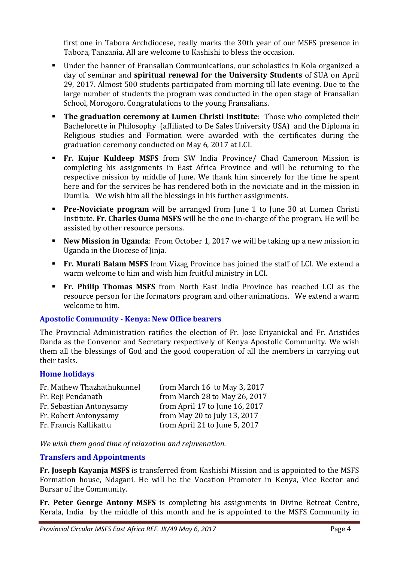first one in Tabora Archdiocese, really marks the 30th year of our MSFS presence in Tabora, Tanzania. All are welcome to Kashishi to bless the occasion.

- - Under the banner of Fransalian Communications, our scholastics in Kola organized a day of seminar and **spiritual renewal for the University Students** of SUA on April 29, 2017. Almost 500 students participated from morning till late evening. Due to the large number of students the program was conducted in the open stage of Fransalian School, Morogoro. Congratulations to the young Fransalians.
- - **The graduation ceremony at Lumen Christi Institute**: Those who completed their Bachelorette in Philosophy (affiliated to De Sales University USA) and the Diploma in Religious studies and Formation were awarded with the certificates during the graduation ceremony conducted on May 6, 2017 at LCI.
- **Fr. Kujur Kuldeep MSFS** from SW India Province/ Chad Cameroon Mission is completing his assignments in East Africa Province and will be returning to the respective mission by middle of June. We thank him sincerely for the time he spent here and for the services he has rendered both in the noviciate and in the mission in Dumila. We wish him all the blessings in his further assignments.
- - **Pre-Noviciate program** will be arranged from June 1 to June 30 at Lumen Christi Institute. **Fr. Charles Ouma MSFS** will be the one in-charge of the program. He will be assisted by other resource persons.
- - **New Mission in Uganda**: From October 1, 2017 we will be taking up a new mission in Uganda in the Diocese of Jinja.
- **Fr. Murali Balam MSFS** from Vizag Province has joined the staff of LCI. We extend a warm welcome to him and wish him fruitful ministry in LCI.
- **Fr. Philip Thomas MSFS** from North East India Province has reached LCI as the resource person for the formators program and other animations. We extend a warm welcome to him.

# **Apostolic Community - Kenya: New Office bearers**

The Provincial Administration ratifies the election of Fr. Jose Eriyanickal and Fr. Aristides Danda as the Convenor and Secretary respectively of Kenya Apostolic Community. We wish them all the blessings of God and the good cooperation of all the members in carrying out their tasks.

#### **Home holidays**

| Fr. Mathew Thazhathukunnel | from March 16 to May 3, 2017   |
|----------------------------|--------------------------------|
| Fr. Reji Pendanath         | from March 28 to May 26, 2017  |
| Fr. Sebastian Antonysamy   | from April 17 to June 16, 2017 |
| Fr. Robert Antonysamy      | from May 20 to July 13, 2017   |
| Fr. Francis Kallikattu     | from April 21 to June 5, 2017  |

*We wish them good time of relaxation and rejuvenation.* 

#### **Transfers and Appointments**

**Fr. Joseph Kayanja MSFS** is transferred from Kashishi Mission and is appointed to the MSFS Formation house, Ndagani. He will be the Vocation Promoter in Kenya, Vice Rector and Bursar of the Community.

**Fr. Peter George Antony MSFS** is completing his assignments in Divine Retreat Centre, Kerala, India by the middle of this month and he is appointed to the MSFS Community in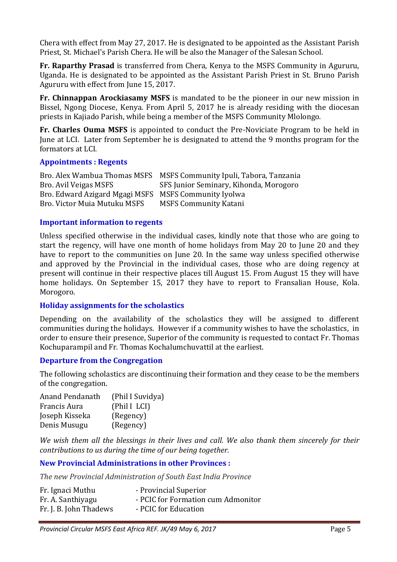Chera with effect from May 27, 2017. He is designated to be appointed as the Assistant Parish Priest, St. Michael's Parish Chera. He will be also the Manager of the Salesan School.

**Fr. Raparthy Prasad** is transferred from Chera, Kenya to the MSFS Community in Agururu, Uganda. He is designated to be appointed as the Assistant Parish Priest in St. Bruno Parish Agururu with effect from June 15, 2017.

**Fr. Chinnappan Arockiasamy MSFS** is mandated to be the pioneer in our new mission in Bissel, Ngong Diocese, Kenya. From April 5, 2017 he is already residing with the diocesan priests in Kajiado Parish, while being a member of the MSFS Community Mlolongo.

**Fr. Charles Ouma MSFS** is appointed to conduct the Pre-Noviciate Program to be held in June at LCI. Later from September he is designated to attend the 9 months program for the formators at LCI.

#### **Appointments : Regents**

Bro. Alex Wambua Thomas MSFS MSFS Community Ipuli, Tabora, Tanzania Bro. Avil Veigas MSFS States SFS Junior Seminary, Kihonda, Morogoro Bro. Edward Azigard Mgagi MSFS MSFS Community Iyolwa Bro. Victor Muia Mutuku MSFS MSFS Community Katani

## **Important information to regents**

Unless specified otherwise in the individual cases, kindly note that those who are going to start the regency, will have one month of home holidays from May 20 to June 20 and they have to report to the communities on June 20. In the same way unless specified otherwise and approved by the Provincial in the individual cases, those who are doing regency at present will continue in their respective places till August 15. From August 15 they will have home holidays. On September 15, 2017 they have to report to Fransalian House, Kola. Morogoro.

#### **Holiday assignments for the scholastics**

Depending on the availability of the scholastics they will be assigned to different communities during the holidays. However if a community wishes to have the scholastics, in order to ensure their presence, Superior of the community is requested to contact Fr. Thomas Kochuparampil and Fr. Thomas Kochalumchuvattil at the earliest.

#### **Departure from the Congregation**

The following scholastics are discontinuing their formation and they cease to be the members of the congregation.

| Anand Pendanath | (Phil I Suvidya) |
|-----------------|------------------|
| Francis Aura    | (Phil I LCI)     |
| Joseph Kisseka  | (Regency)        |
| Denis Musugu    | (Regency)        |

*We wish them all the blessings in their lives and call. We also thank them sincerely for their contributions to us during the time of our being together.* 

# **New Provincial Administrations in other Provinces :**

*The new Provincial Administration of South East India Province* 

| Fr. Ignaci Muthu       | - Provincial Superior              |
|------------------------|------------------------------------|
| Fr. A. Santhiyagu      | - PCIC for Formation cum Admonitor |
| Fr. J. B. John Thadews | - PCIC for Education               |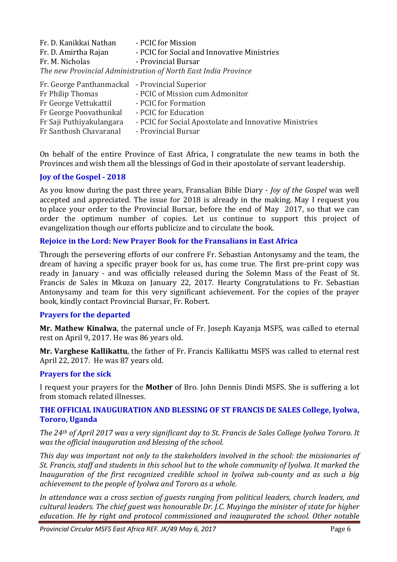| Fr. D. Kanikkai Nathan                                         | - PCIC for Mission                          |  |
|----------------------------------------------------------------|---------------------------------------------|--|
| Fr. D. Amirtha Rajan                                           | - PCIC for Social and Innovative Ministries |  |
| Fr. M. Nicholas                                                | - Provincial Bursar                         |  |
| The new Provincial Administration of North East India Province |                                             |  |

| Fr. George Panthanmackal - Provincial Superior |                                                        |
|------------------------------------------------|--------------------------------------------------------|
| Fr Philip Thomas                               | - PCIC of Mission cum Admonitor                        |
| Fr George Vettukattil                          | - PCIC for Formation                                   |
| Fr George Poovathunkal                         | - PCIC for Education                                   |
| Fr Saji Puthiyakulangara                       | - PCIC for Social Apostolate and Innovative Ministries |
| Fr Santhosh Chavaranal                         | - Provincial Bursar                                    |

On behalf of the entire Province of East Africa, I congratulate the new teams in both the Provinces and wish them all the blessings of God in their apostolate of servant leadership.

## **Joy of the Gospel - 2018**

As you know during the past three years, Fransalian Bible Diary - *Joy of the Gospel* was well accepted and appreciated. The issue for 2018 is already in the making. May I request you to place your order to the Provincial Bursar, before the end of May 2017, so that we can order the optimum number of copies. Let us continue to support this project of evangelization though our efforts publicize and to circulate the book.

## **Rejoice in the Lord: New Prayer Book for the Fransalians in East Africa**

Through the persevering efforts of our confrere Fr. Sebastian Antonysamy and the team, the dream of having a specific prayer book for us, has come true. The first pre-print copy was ready in January - and was officially released during the Solemn Mass of the Feast of St. Francis de Sales in Mkuza on January 22, 2017. Hearty Congratulations to Fr. Sebastian Antonysamy and team for this very significant achievement. For the copies of the prayer book, kindly contact Provincial Bursar, Fr. Robert.

#### **Prayers for the departed**

**Mr. Mathew Kinalwa**, the paternal uncle of Fr. Joseph Kayanja MSFS, was called to eternal rest on April 9, 2017. He was 86 years old.

**Mr. Varghese Kallikattu**, the father of Fr. Francis Kallikattu MSFS was called to eternal rest April 22, 2017. He was 87 years old.

#### **Prayers for the sick**

I request your prayers for the **Mother** of Bro. John Dennis Dindi MSFS. She is suffering a lot from stomach related illnesses.

#### **THE OFFICIAL INAUGURATION AND BLESSING OF ST FRANCIS DE SALES College, Iyolwa, Tororo, Uganda**

*The 24th of April 2017 was a very significant day to St. Francis de Sales College Iyolwa Tororo. It was the official inauguration and blessing of the school.* 

*This day was important not only to the stakeholders involved in the school: the missionaries of St. Francis, staff and students in this school but to the whole community of Iyolwa. It marked the Inauguration of the first recognized credible school in Iyolwa sub-county and as such a big achievement to the people of Iyolwa and Tororo as a whole.* 

*In attendance was a cross section of guests ranging from political leaders, church leaders, and cultural leaders. The chief guest was honourable Dr. J.C. Muyingo the minister of state for higher education. He by right and protocol commissioned and inaugurated the school. Other notable*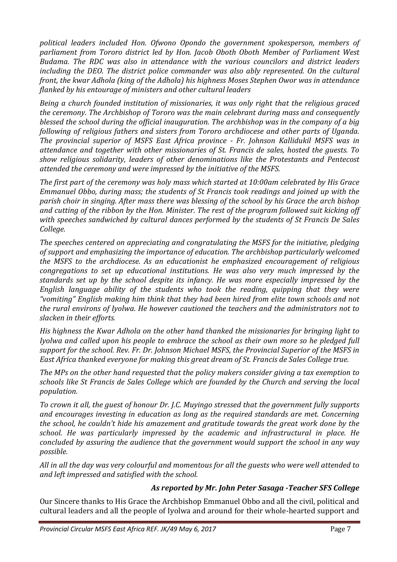*political leaders included Hon. Ofwono Opondo the government spokesperson, members of parliament from Tororo district led by Hon. Jacob Oboth Oboth Member of Parliament West Budama. The RDC was also in attendance with the various councilors and district leaders including the DEO. The district police commander was also ably represented. On the cultural front, the kwar Adhola (king of the Adhola) his highness Moses Stephen Owor was in attendance flanked by his entourage of ministers and other cultural leaders* 

*Being a church founded institution of missionaries, it was only right that the religious graced the ceremony. The Archbishop of Tororo was the main celebrant during mass and consequently blessed the school during the official inauguration. The archbishop was in the company of a big following of religious fathers and sisters from Tororo archdiocese and other parts of Uganda. The provincial superior of MSFS East Africa province - Fr. Johnson Kallidukil MSFS was in attendance and together with other missionaries of St. Francis de sales, hosted the guests. To show religious solidarity, leaders of other denominations like the Protestants and Pentecost attended the ceremony and were impressed by the initiative of the MSFS.* 

*The first part of the ceremony was holy mass which started at 10:00am celebrated by His Grace Emmanuel Obbo, during mass; the students of St Francis took readings and joined up with the parish choir in singing. After mass there was blessing of the school by his Grace the arch bishop and cutting of the ribbon by the Hon. Minister. The rest of the program followed suit kicking off with speeches sandwiched by cultural dances performed by the students of St Francis De Sales College.* 

*The speeches centered on appreciating and congratulating the MSFS for the initiative, pledging of support and emphasizing the importance of education. The archbishop particularly welcomed the MSFS to the archdiocese. As an educationist he emphasized encouragement of religious congregations to set up educational institutions. He was also very much impressed by the standards set up by the school despite its infancy. He was more especially impressed by the English language ability of the students who took the reading, quipping that they were "vomiting" English making him think that they had been hired from elite town schools and not the rural environs of Iyolwa. He however cautioned the teachers and the administrators not to slacken in their efforts.* 

*His highness the Kwar Adhola on the other hand thanked the missionaries for bringing light to Iyolwa and called upon his people to embrace the school as their own more so he pledged full support for the school. Rev. Fr. Dr. Johnson Michael MSFS, the Provincial Superior of the MSFS in East Africa thanked everyone for making this great dream of St. Francis de Sales College true.* 

*The MPs on the other hand requested that the policy makers consider giving a tax exemption to schools like St Francis de Sales College which are founded by the Church and serving the local population.* 

*To crown it all, the guest of honour Dr. J.C. Muyingo stressed that the government fully supports and encourages investing in education as long as the required standards are met. Concerning the school, he couldn't hide his amazement and gratitude towards the great work done by the school. He was particularly impressed by the academic and infrastructural in place. He concluded by assuring the audience that the government would support the school in any way possible.* 

*All in all the day was very colourful and momentous for all the guests who were well attended to and left impressed and satisfied with the school.* 

# *As reported by Mr. John Peter Sasaga -Teacher SFS College*

Our Sincere thanks to His Grace the Archbishop Emmanuel Obbo and all the civil, political and cultural leaders and all the people of Iyolwa and around for their whole-hearted support and